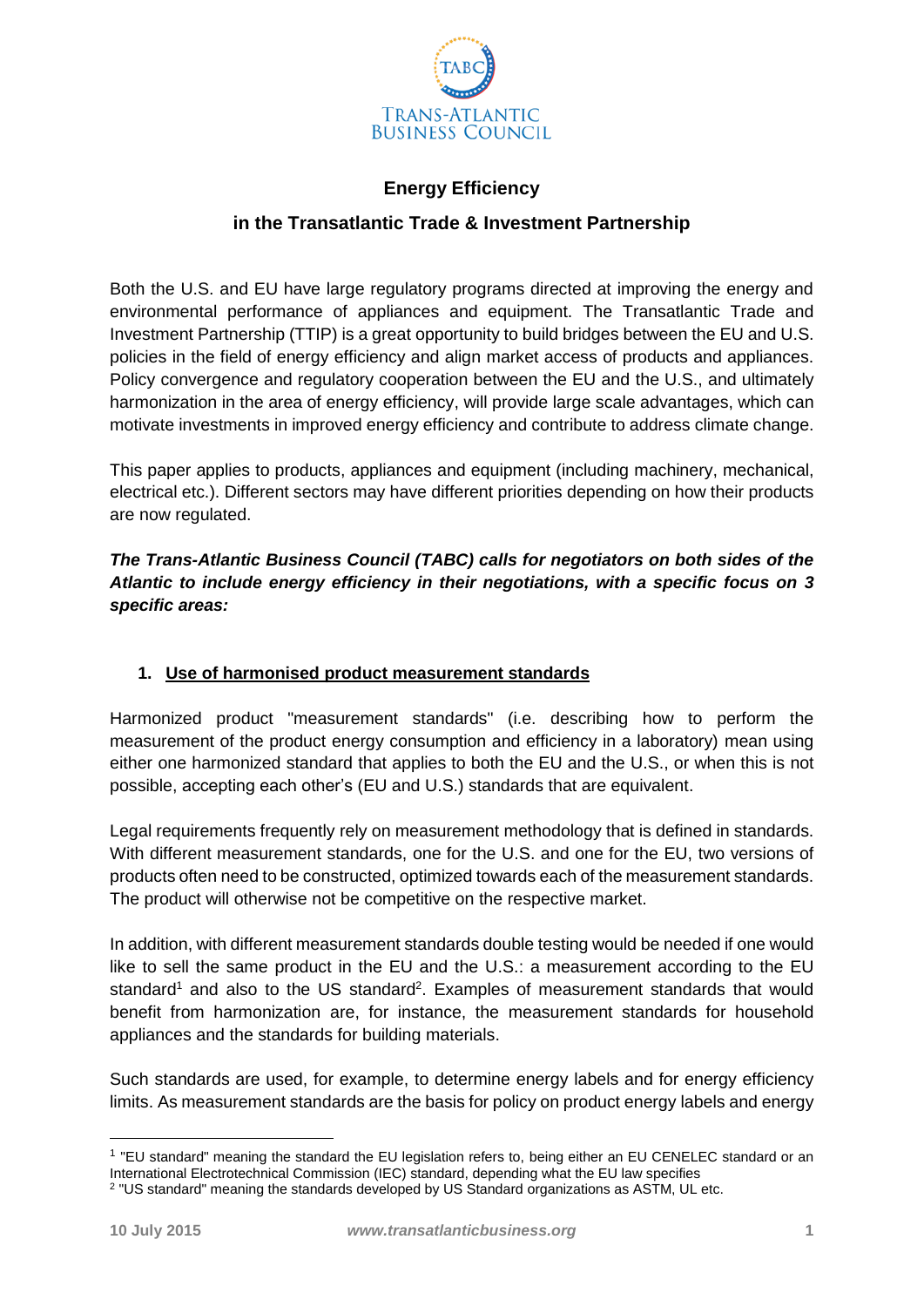

# **Energy Efficiency in the Transatlantic Trade & Investment Partnership**

Both the U.S. and EU have large regulatory programs directed at improving the energy and environmental performance of appliances and equipment. The Transatlantic Trade and Investment Partnership (TTIP) is a great opportunity to build bridges between the EU and U.S. policies in the field of energy efficiency and align market access of products and appliances. Policy convergence and regulatory cooperation between the EU and the U.S., and ultimately harmonization in the area of energy efficiency, will provide large scale advantages, which can motivate investments in improved energy efficiency and contribute to address climate change.

This paper applies to products, appliances and equipment (including machinery, mechanical, electrical etc.). Different sectors may have different priorities depending on how their products are now regulated.

*The Trans-Atlantic Business Council (TABC) calls for negotiators on both sides of the Atlantic to include energy efficiency in their negotiations, with a specific focus on 3 specific areas:*

## **1. Use of harmonised product measurement standards**

Harmonized product "measurement standards" (i.e. describing how to perform the measurement of the product energy consumption and efficiency in a laboratory) mean using either one harmonized standard that applies to both the EU and the U.S., or when this is not possible, accepting each other's (EU and U.S.) standards that are equivalent.

Legal requirements frequently rely on measurement methodology that is defined in standards. With different measurement standards, one for the U.S. and one for the EU, two versions of products often need to be constructed, optimized towards each of the measurement standards. The product will otherwise not be competitive on the respective market.

In addition, with different measurement standards double testing would be needed if one would like to sell the same product in the EU and the U.S.: a measurement according to the EU standard<sup>1</sup> and also to the US standard<sup>2</sup>. Examples of measurement standards that would benefit from harmonization are, for instance, the measurement standards for household appliances and the standards for building materials.

Such standards are used, for example, to determine energy labels and for energy efficiency limits. As measurement standards are the basis for policy on product energy labels and energy

1

<sup>1</sup> "EU standard" meaning the standard the EU legislation refers to, being either an EU CENELEC standard or an International Electrotechnical Commission (IEC) standard, depending what the EU law specifies

<sup>2</sup> "US standard" meaning the standards developed by US Standard organizations as ASTM, UL etc.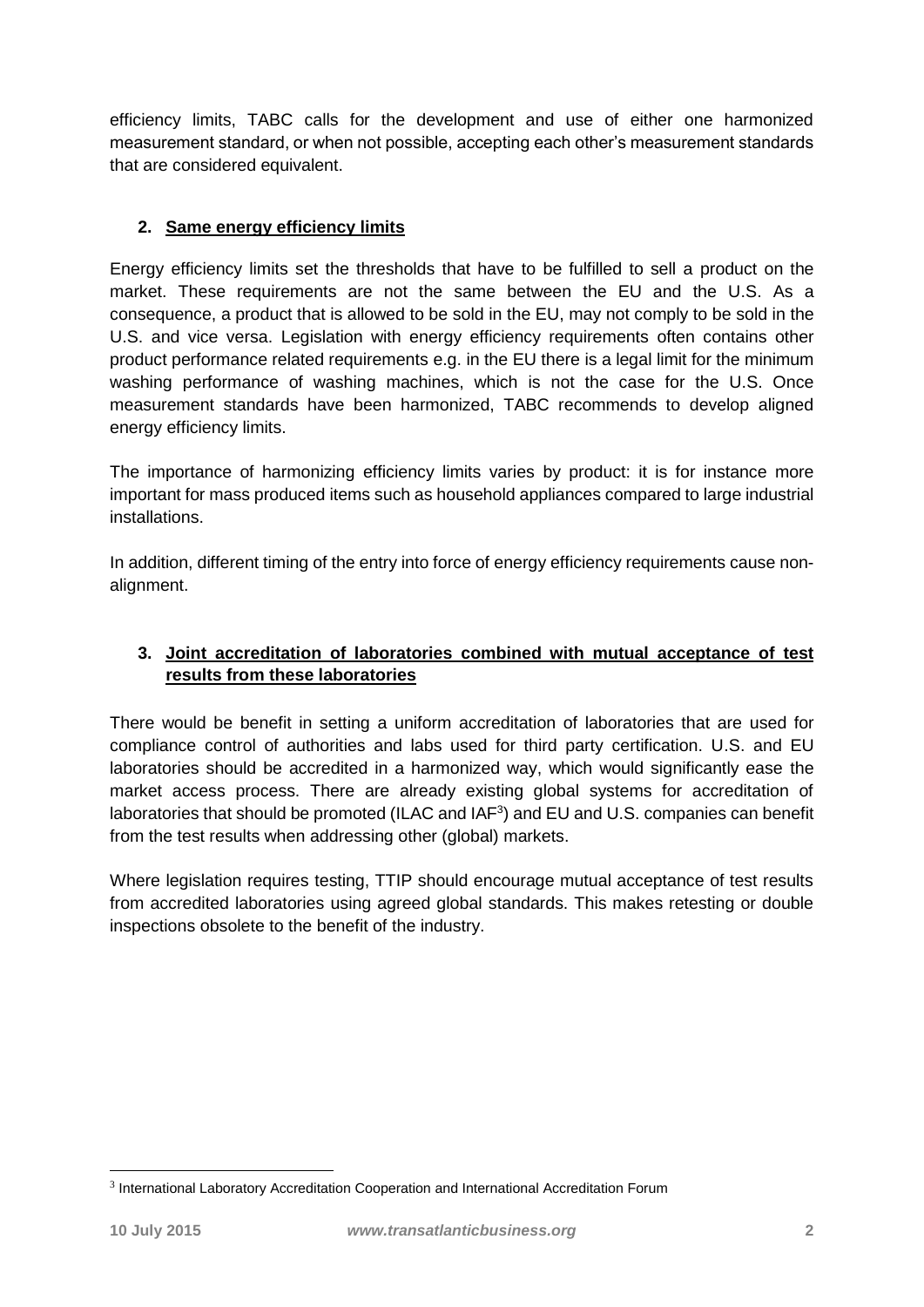efficiency limits, TABC calls for the development and use of either one harmonized measurement standard, or when not possible, accepting each other's measurement standards that are considered equivalent.

## **2. Same energy efficiency limits**

Energy efficiency limits set the thresholds that have to be fulfilled to sell a product on the market. These requirements are not the same between the EU and the U.S. As a consequence, a product that is allowed to be sold in the EU, may not comply to be sold in the U.S. and vice versa. Legislation with energy efficiency requirements often contains other product performance related requirements e.g. in the EU there is a legal limit for the minimum washing performance of washing machines, which is not the case for the U.S. Once measurement standards have been harmonized, TABC recommends to develop aligned energy efficiency limits.

The importance of harmonizing efficiency limits varies by product: it is for instance more important for mass produced items such as household appliances compared to large industrial installations.

In addition, different timing of the entry into force of energy efficiency requirements cause nonalignment.

### **3. Joint accreditation of laboratories combined with mutual acceptance of test results from these laboratories**

There would be benefit in setting a uniform accreditation of laboratories that are used for compliance control of authorities and labs used for third party certification. U.S. and EU laboratories should be accredited in a harmonized way, which would significantly ease the market access process. There are already existing global systems for accreditation of laboratories that should be promoted (ILAC and IAF $3$ ) and EU and U.S. companies can benefit from the test results when addressing other (global) markets.

Where legislation requires testing, TTIP should encourage mutual acceptance of test results from accredited laboratories using agreed global standards. This makes retesting or double inspections obsolete to the benefit of the industry.

1

<sup>&</sup>lt;sup>3</sup> International Laboratory Accreditation Cooperation and International Accreditation Forum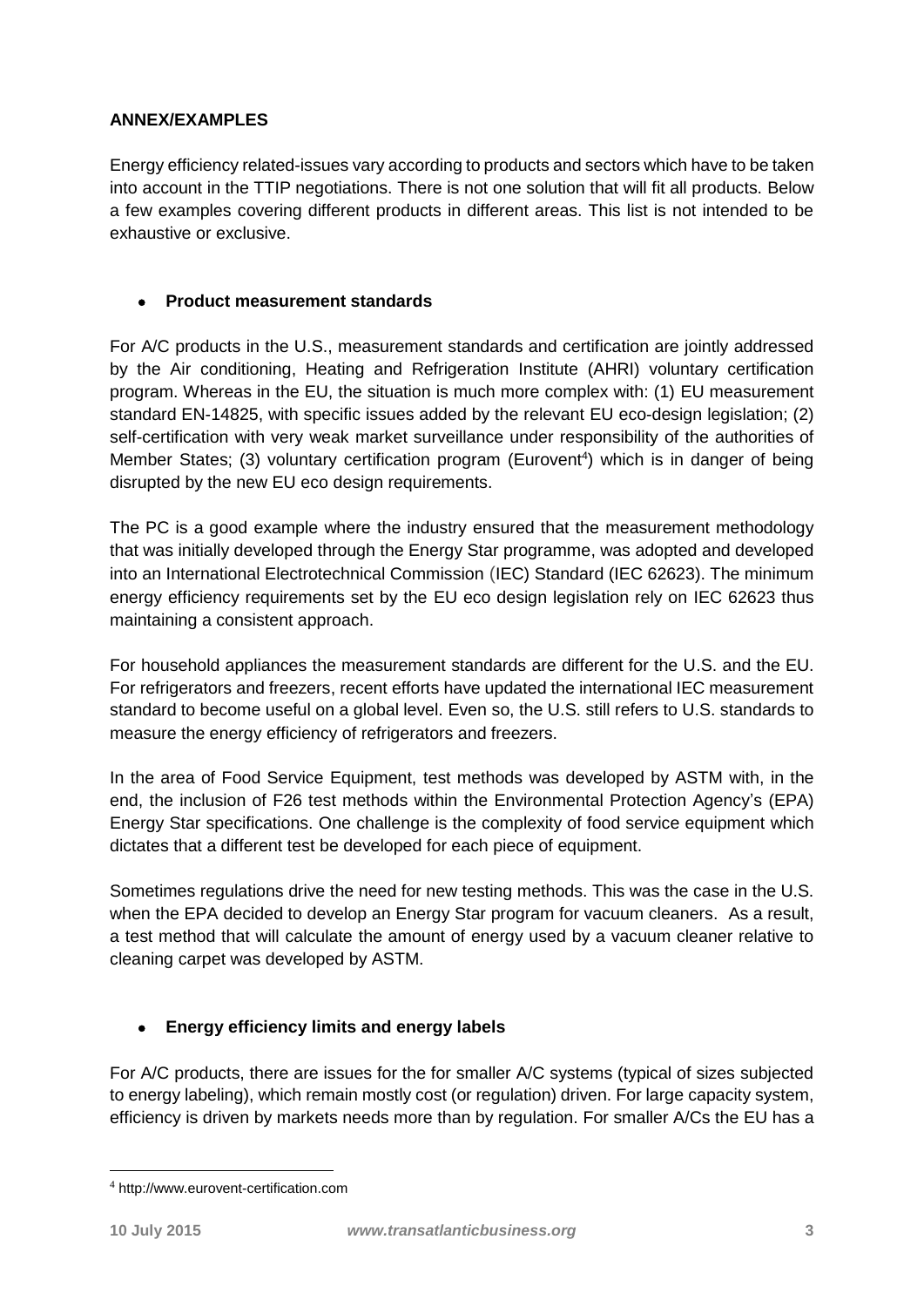### **ANNEX/EXAMPLES**

Energy efficiency related-issues vary according to products and sectors which have to be taken into account in the TTIP negotiations. There is not one solution that will fit all products. Below a few examples covering different products in different areas. This list is not intended to be exhaustive or exclusive.

#### **Product measurement standards**

For A/C products in the U.S., measurement standards and certification are jointly addressed by the Air conditioning, Heating and Refrigeration Institute (AHRI) voluntary certification program. Whereas in the EU, the situation is much more complex with: (1) EU measurement standard EN-14825, with specific issues added by the relevant EU eco-design legislation; (2) self-certification with very weak market surveillance under responsibility of the authorities of Member States; (3) voluntary certification program (Eurovent<sup>4</sup>) which is in danger of being disrupted by the new EU eco design requirements.

The PC is a good example where the industry ensured that the measurement methodology that was initially developed through the Energy Star programme, was adopted and developed into an International Electrotechnical Commission (IEC) Standard (IEC 62623). The minimum energy efficiency requirements set by the EU eco design legislation rely on IEC 62623 thus maintaining a consistent approach.

For household appliances the measurement standards are different for the U.S. and the EU. For refrigerators and freezers, recent efforts have updated the international IEC measurement standard to become useful on a global level. Even so, the U.S. still refers to U.S. standards to measure the energy efficiency of refrigerators and freezers.

In the area of Food Service Equipment, test methods was developed by ASTM with, in the end, the inclusion of F26 test methods within the Environmental Protection Agency's (EPA) Energy Star specifications. One challenge is the complexity of food service equipment which dictates that a different test be developed for each piece of equipment.

Sometimes regulations drive the need for new testing methods. This was the case in the U.S. when the EPA decided to develop an Energy Star program for vacuum cleaners. As a result, a test method that will calculate the amount of energy used by a vacuum cleaner relative to cleaning carpet was developed by ASTM.

### **Energy efficiency limits and energy labels**

For A/C products, there are issues for the for smaller A/C systems (typical of sizes subjected to energy labeling), which remain mostly cost (or regulation) driven. For large capacity system, efficiency is driven by markets needs more than by regulation. For smaller A/Cs the EU has a

1

<sup>4</sup> http://www.eurovent-certification.com